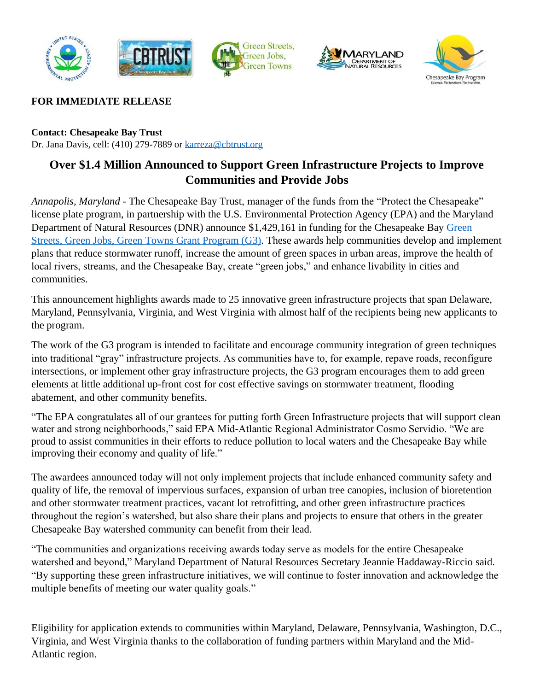





# **FOR IMMEDIATE RELEASE**

**Contact: Chesapeake Bay Trust** Dr. Jana Davis, cell: (410) 279-7889 o[r karreza@cbtrust.org](mailto:karreza@cbtrust.org?subject=Green%20Streets,%20Green%20Jobs,%20Green%20Towns%20Award%20Announcement)

# **Over \$1.4 Million Announced to Support Green Infrastructure Projects to Improve Communities and Provide Jobs**

*Annapolis, Maryland* - The Chesapeake Bay Trust, manager of the funds from the "Protect the Chesapeake" license plate program, in partnership with the U.S. Environmental Protection Agency (EPA) and the Maryland Department of Natural Resources (DNR) announce \$1,429,161 in funding for the Chesapeake Bay [Green](https://cbtrust.org/grants/green-streets-green-jobs-green-towns/)  [Streets, Green Jobs, Green Towns Grant Program](https://cbtrust.org/grants/green-streets-green-jobs-green-towns/) (G3). These awards help communities develop and implement plans that reduce stormwater runoff, increase the amount of green spaces in urban areas, improve the health of local rivers, streams, and the Chesapeake Bay, create "green jobs," and enhance livability in cities and communities.

This announcement highlights awards made to 25 innovative green infrastructure projects that span Delaware, Maryland, Pennsylvania, Virginia, and West Virginia with almost half of the recipients being new applicants to the program.

The work of the G3 program is intended to facilitate and encourage community integration of green techniques into traditional "gray" infrastructure projects. As communities have to, for example, repave roads, reconfigure intersections, or implement other gray infrastructure projects, the G3 program encourages them to add green elements at little additional up-front cost for cost effective savings on stormwater treatment, flooding abatement, and other community benefits.

"The EPA congratulates all of our grantees for putting forth Green Infrastructure projects that will support clean water and strong neighborhoods," said EPA Mid-Atlantic Regional Administrator Cosmo Servidio. "We are proud to assist communities in their efforts to reduce pollution to local waters and the Chesapeake Bay while improving their economy and quality of life."

The awardees announced today will not only implement projects that include enhanced community safety and quality of life, the removal of impervious surfaces, expansion of urban tree canopies, inclusion of bioretention and other stormwater treatment practices, vacant lot retrofitting, and other green infrastructure practices throughout the region's watershed, but also share their plans and projects to ensure that others in the greater Chesapeake Bay watershed community can benefit from their lead.

"The communities and organizations receiving awards today serve as models for the entire Chesapeake watershed and beyond," Maryland Department of Natural Resources Secretary Jeannie Haddaway-Riccio said. "By supporting these green infrastructure initiatives, we will continue to foster innovation and acknowledge the multiple benefits of meeting our water quality goals."

Eligibility for application extends to communities within Maryland, Delaware, Pennsylvania, Washington, D.C., Virginia, and West Virginia thanks to the collaboration of funding partners within Maryland and the Mid-Atlantic region.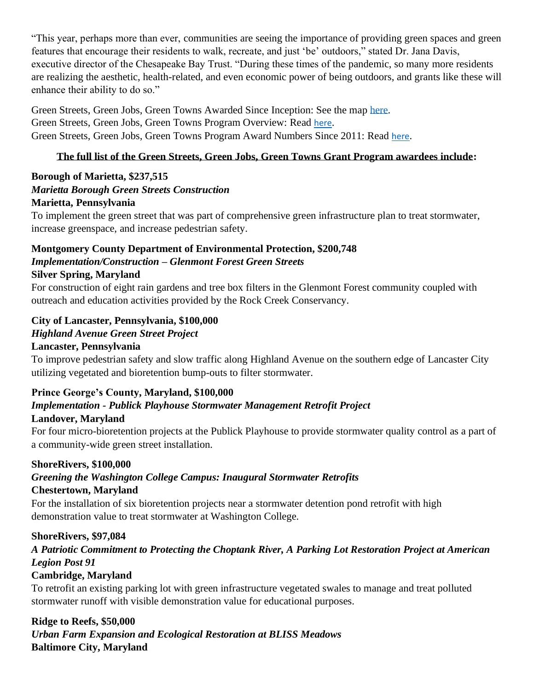"This year, perhaps more than ever, communities are seeing the importance of providing green spaces and green features that encourage their residents to walk, recreate, and just 'be' outdoors," stated Dr. Jana Davis, executive director of the Chesapeake Bay Trust. "During these times of the pandemic, so many more residents are realizing the aesthetic, health-related, and even economic power of being outdoors, and grants like these will enhance their ability to do so."

Green Streets, Green Jobs, Green Towns Awarded Since Inception: See the map [here.](https://cbtrust.org/wp-content/uploads/G3-Projects-Map_2020.pdf) Green Streets, Green Jobs, Green Towns Program Overview: Read [here](https://cbtrust.org/wp-content/uploads/G3-Infographic_July-2020.pdf). Green Streets, Green Jobs, Green Towns Program Award Numbers Since 2011: Read [here](https://cbtrust.org/wp-content/uploads/G3-Metrics-Poster_2020.pdf).

# **The full list of the Green Streets, Green Jobs, Green Towns Grant Program awardees include:**

#### **Borough of Marietta, \$237,515** *Marietta Borough Green Streets Construction* **Marietta, Pennsylvania**

To implement the green street that was part of comprehensive green infrastructure plan to treat stormwater, increase greenspace, and increase pedestrian safety.

# **Montgomery County Department of Environmental Protection, \$200,748** *Implementation/Construction – Glenmont Forest Green Streets*

#### **Silver Spring, Maryland**

For construction of eight rain gardens and tree box filters in the Glenmont Forest community coupled with outreach and education activities provided by the Rock Creek Conservancy.

# **City of Lancaster, Pennsylvania, \$100,000**

# *Highland Avenue Green Street Project*

#### **Lancaster, Pennsylvania**

To improve pedestrian safety and slow traffic along Highland Avenue on the southern edge of Lancaster City utilizing vegetated and bioretention bump-outs to filter stormwater.

# **Prince George's County, Maryland, \$100,000**

# *Implementation - Publick Playhouse Stormwater Management Retrofit Project*

# **Landover, Maryland**

For four micro-bioretention projects at the Publick Playhouse to provide stormwater quality control as a part of a community-wide green street installation.

# **ShoreRivers, \$100,000**

# *Greening the Washington College Campus: Inaugural Stormwater Retrofits*

# **Chestertown, Maryland**

For the installation of six bioretention projects near a stormwater detention pond retrofit with high demonstration value to treat stormwater at Washington College.

# **ShoreRivers, \$97,084**

*A Patriotic Commitment to Protecting the Choptank River, A Parking Lot Restoration Project at American Legion Post 91*

# **Cambridge, Maryland**

To retrofit an existing parking lot with green infrastructure vegetated swales to manage and treat polluted stormwater runoff with visible demonstration value for educational purposes.

# **Ridge to Reefs, \$50,000**

*Urban Farm Expansion and Ecological Restoration at BLISS Meadows* **Baltimore City, Maryland**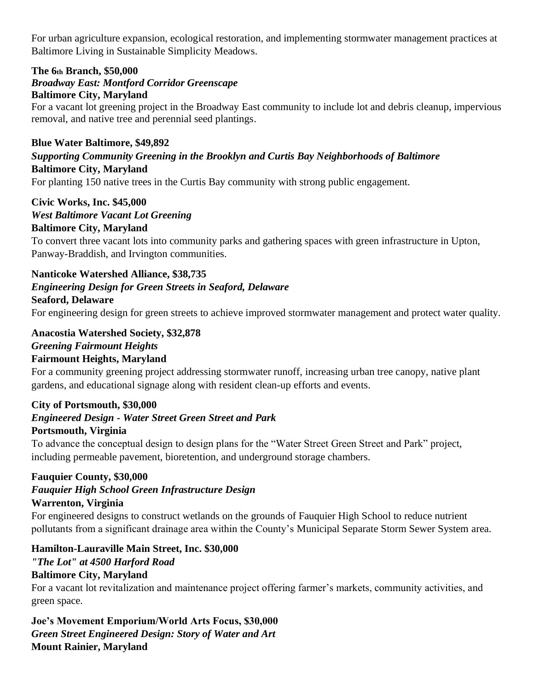For urban agriculture expansion, ecological restoration, and implementing stormwater management practices at Baltimore Living in Sustainable Simplicity Meadows.

#### **The 6th Branch, \$50,000**

#### *Broadway East: Montford Corridor Greenscape* **Baltimore City, Maryland**

For a vacant lot greening project in the Broadway East community to include lot and debris cleanup, impervious removal, and native tree and perennial seed plantings.

#### **Blue Water Baltimore, \$49,892**

#### *Supporting Community Greening in the Brooklyn and Curtis Bay Neighborhoods of Baltimore* **Baltimore City, Maryland**

For planting 150 native trees in the Curtis Bay community with strong public engagement.

# **Civic Works, Inc. \$45,000**

#### *West Baltimore Vacant Lot Greening*

#### **Baltimore City, Maryland**

To convert three vacant lots into community parks and gathering spaces with green infrastructure in Upton, Panway-Braddish, and Irvington communities.

#### **Nanticoke Watershed Alliance, \$38,735**

#### *Engineering Design for Green Streets in Seaford, Delaware*

#### **Seaford, Delaware**

For engineering design for green streets to achieve improved stormwater management and protect water quality.

# **Anacostia Watershed Society, \$32,878** *Greening Fairmount Heights*

# **Fairmount Heights, Maryland**

For a community greening project addressing stormwater runoff, increasing urban tree canopy, native plant gardens, and educational signage along with resident clean-up efforts and events.

#### **City of Portsmouth, \$30,000**

# *Engineered Design - Water Street Green Street and Park*

# **Portsmouth, Virginia**

To advance the conceptual design to design plans for the "Water Street Green Street and Park" project, including permeable pavement, bioretention, and underground storage chambers.

# **Fauquier County, \$30,000**

# *Fauquier High School Green Infrastructure Design*

# **Warrenton, Virginia**

For engineered designs to construct wetlands on the grounds of Fauquier High School to reduce nutrient pollutants from a significant drainage area within the County's Municipal Separate Storm Sewer System area.

# **Hamilton-Lauraville Main Street, Inc. \$30,000**

# *"The Lot" at 4500 Harford Road*

# **Baltimore City, Maryland**

For a vacant lot revitalization and maintenance project offering farmer's markets, community activities, and green space.

**Joe's Movement Emporium/World Arts Focus, \$30,000** *Green Street Engineered Design: Story of Water and Art* **Mount Rainier, Maryland**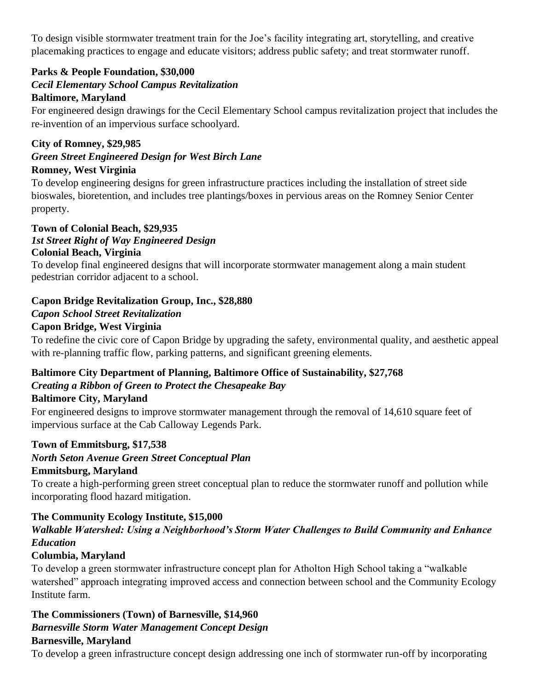To design visible stormwater treatment train for the Joe's facility integrating art, storytelling, and creative placemaking practices to engage and educate visitors; address public safety; and treat stormwater runoff.

# **Parks & People Foundation, \$30,000**

# *Cecil Elementary School Campus Revitalization*

#### **Baltimore, Maryland**

For engineered design drawings for the Cecil Elementary School campus revitalization project that includes the re-invention of an impervious surface schoolyard.

#### **City of Romney, \$29,985**

*Green Street Engineered Design for West Birch Lane*

# **Romney, West Virginia**

To develop engineering designs for green infrastructure practices including the installation of street side bioswales, bioretention, and includes tree plantings/boxes in pervious areas on the Romney Senior Center property.

#### **Town of Colonial Beach, \$29,935** *1st Street Right of Way Engineered Design* **Colonial Beach, Virginia**

To develop final engineered designs that will incorporate stormwater management along a main student pedestrian corridor adjacent to a school.

# **Capon Bridge Revitalization Group, Inc., \$28,880**

# *Capon School Street Revitalization*

#### **Capon Bridge, West Virginia**

To redefine the civic core of Capon Bridge by upgrading the safety, environmental quality, and aesthetic appeal with re-planning traffic flow, parking patterns, and significant greening elements.

# **Baltimore City Department of Planning, Baltimore Office of Sustainability, \$27,768** *Creating a Ribbon of Green to Protect the Chesapeake Bay*

# **Baltimore City, Maryland**

For engineered designs to improve stormwater management through the removal of 14,610 square feet of impervious surface at the Cab Calloway Legends Park.

# **Town of Emmitsburg, \$17,538**

*North Seton Avenue Green Street Conceptual Plan*

# **Emmitsburg, Maryland**

To create a high-performing green street conceptual plan to reduce the stormwater runoff and pollution while incorporating flood hazard mitigation.

# **The Community Ecology Institute, \$15,000**

# *Walkable Watershed: Using a Neighborhood's Storm Water Challenges to Build Community and Enhance Education*

# **Columbia, Maryland**

To develop a green stormwater infrastructure concept plan for Atholton High School taking a "walkable watershed" approach integrating improved access and connection between school and the Community Ecology Institute farm.

#### **The Commissioners (Town) of Barnesville, \$14,960** *Barnesville Storm Water Management Concept Design* **Barnesville, Maryland**

To develop a green infrastructure concept design addressing one inch of stormwater run-off by incorporating